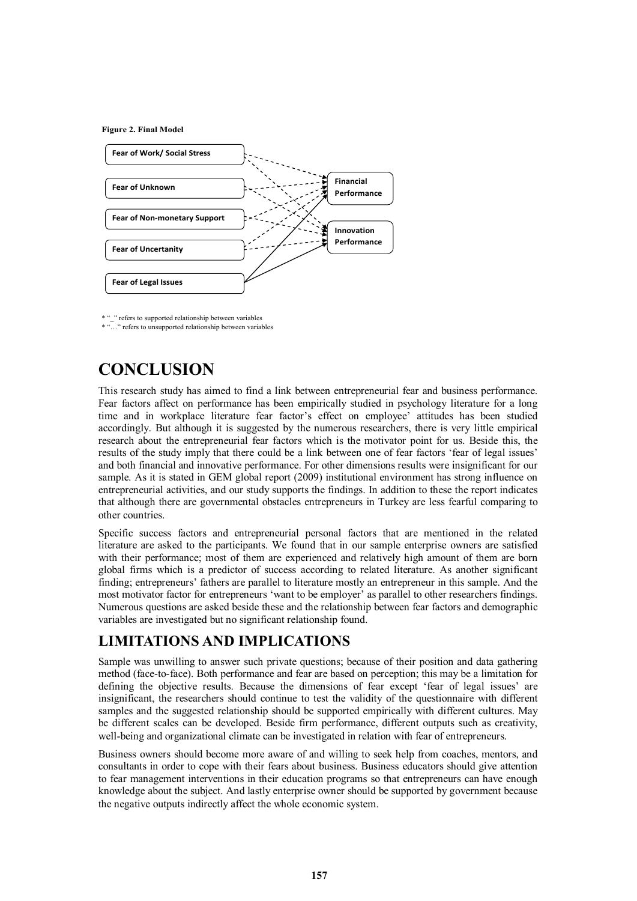



" refers to supported relationship between variables

\* "…" refers to unsupported relationship between variables

## **CONCLUSION**

This research study has aimed to find a link between entrepreneurial fear and business performance. Fear factors affect on performance has been empirically studied in psychology literature for a long time and in workplace literature fear factor's effect on employee' attitudes has been studied accordingly. But although it is suggested by the numerous researchers, there is very little empirical research about the entrepreneurial fear factors which is the motivator point for us. Beside this, the results of the study imply that there could be a link between one of fear factors 'fear of legal issues' and both financial and innovative performance. For other dimensions results were insignificant for our sample. As it is stated in GEM global report (2009) institutional environment has strong influence on entrepreneurial activities, and our study supports the findings. In addition to these the report indicates that although there are governmental obstacles entrepreneurs in Turkey are less fearful comparing to other countries.

Specific success factors and entrepreneurial personal factors that are mentioned in the related literature are asked to the participants. We found that in our sample enterprise owners are satisfied with their performance; most of them are experienced and relatively high amount of them are born global firms which is a predictor of success according to related literature. As another significant finding; entrepreneurs" fathers are parallel to literature mostly an entrepreneur in this sample. And the most motivator factor for entrepreneurs "want to be employer" as parallel to other researchers findings. Numerous questions are asked beside these and the relationship between fear factors and demographic variables are investigated but no significant relationship found.

## **LIMITATIONS AND IMPLICATIONS**

Sample was unwilling to answer such private questions; because of their position and data gathering method (face-to-face). Both performance and fear are based on perception; this may be a limitation for defining the objective results. Because the dimensions of fear except "fear of legal issues" are insignificant, the researchers should continue to test the validity of the questionnaire with different samples and the suggested relationship should be supported empirically with different cultures. May be different scales can be developed. Beside firm performance, different outputs such as creativity, well-being and organizational climate can be investigated in relation with fear of entrepreneurs.

Business owners should become more aware of and willing to seek help from coaches, mentors, and consultants in order to cope with their fears about business. Business educators should give attention to fear management interventions in their education programs so that entrepreneurs can have enough knowledge about the subject. And lastly enterprise owner should be supported by government because the negative outputs indirectly affect the whole economic system.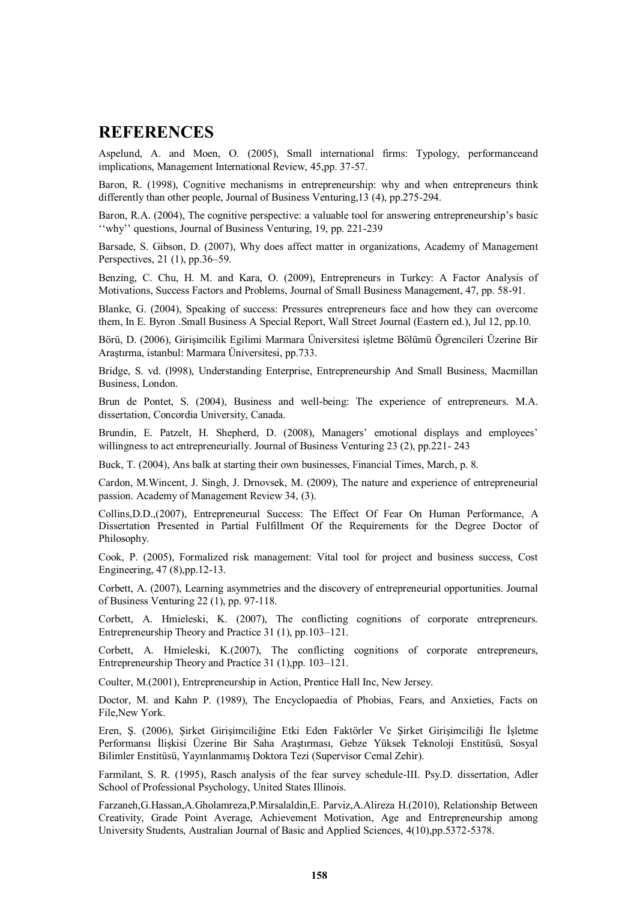## **REFERENCES**

Aspelund, A. and Moen, O. (2005), Small international firms: Typology, performanceand implications, Management International Review, 45,pp. 37-57.

Baron, R. (1998), Cognitive mechanisms in entrepreneurship: why and when entrepreneurs think differently than other people, Journal of Business Venturing,13 (4), pp.275-294.

Baron, R.A. (2004), The cognitive perspective: a valuable tool for answering entrepreneurship"s basic "why" questions, Journal of Business Venturing, 19, pp. 221-239

Barsade, S. Gibson, D. (2007), Why does affect matter in organizations, Academy of Management Perspectives, 21 (1), pp.36–59.

Benzing, C. Chu, H. M. and Kara, O. (2009), Entrepreneurs in Turkey: A Factor Analysis of Motivations, Success Factors and Problems, Journal of Small Business Management, 47, pp. 58-91.

Blanke, G. (2004), Speaking of success: Pressures entrepreneurs face and how they can overcome them, In E. Byron .Small Business A Special Report, Wall Street Journal (Eastern ed.), Jul 12, pp.10.

Börü, D. (2006), Girişimcilik Egilimi Marmara Üniversitesi işletme Bölümü Ögrencileri Üzerine Bir Araştırma, istanbul: Marmara Üniversitesi, pp.733.

Bridge, S. vd. (l998), Understanding Enterprise, Entrepreneurship And Small Business, Macmillan Business, London.

Brun de Pontet, S. (2004), Business and well-being: The experience of entrepreneurs. M.A. dissertation, Concordia University, Canada.

Brundin, E. Patzelt, H. Shepherd, D. (2008), Managers' emotional displays and employees' willingness to act entrepreneurially. Journal of Business Venturing 23 (2), pp.221- 243

Buck, T. (2004), Ans balk at starting their own businesses, Financial Times, March, p. 8.

Cardon, M.Wincent, J. Singh, J. Drnovsek, M. (2009), The nature and experience of entrepreneurial passion. Academy of Management Review 34, (3).

Collins,D.D.,(2007), Entrepreneurıal Success: The Effect Of Fear On Human Performance, A Dissertation Presented in Partial Fulfillment Of the Requirements for the Degree Doctor of Philosophy.

Cook, P. (2005), Formalized risk management: Vital tool for project and business success, Cost Engineering, 47 (8),pp.12-13.

Corbett, A. (2007), Learning asymmetries and the discovery of entrepreneurial opportunities. Journal of Business Venturing 22 (1), pp. 97-118.

Corbett, A. Hmieleski, K. (2007), The conflicting cognitions of corporate entrepreneurs. Entrepreneurship Theory and Practice 31 (1), pp.103–121.

Corbett, A. Hmieleski, K.(2007), The conflicting cognitions of corporate entrepreneurs, Entrepreneurship Theory and Practice 31 (1),pp. 103–121.

Coulter, M.(2001), Entrepreneurship in Action, Prentice Hall Inc, New Jersey.

Doctor, M. and Kahn P. (1989), The Encyclopaedia of Phobias, Fears, and Anxieties, Facts on File,New York.

Eren, Ş. (2006), Şirket Girişimciliğine Etki Eden Faktörler Ve Şirket Girişimciliği İle İşletme Performansı İlişkisi Üzerine Bir Saha Araştırması, Gebze Yüksek Teknoloji Enstitüsü, Sosyal Bilimler Enstitüsü, Yayınlanmamış Doktora Tezi (Supervisor Cemal Zehir).

Farmilant, S. R. (1995), Rasch analysis of the fear survey schedule-III. Psy.D. dissertation, Adler School of Professional Psychology, United States Illinois.

Farzaneh,G.Hassan,A.Gholamreza,P.Mirsalaldin,E. Parviz,A.Alireza H.(2010), Relationship Between Creativity, Grade Point Average, Achievement Motivation, Age and Entrepreneurship among University Students, Australian Journal of Basic and Applied Sciences, 4(10),pp.5372-5378.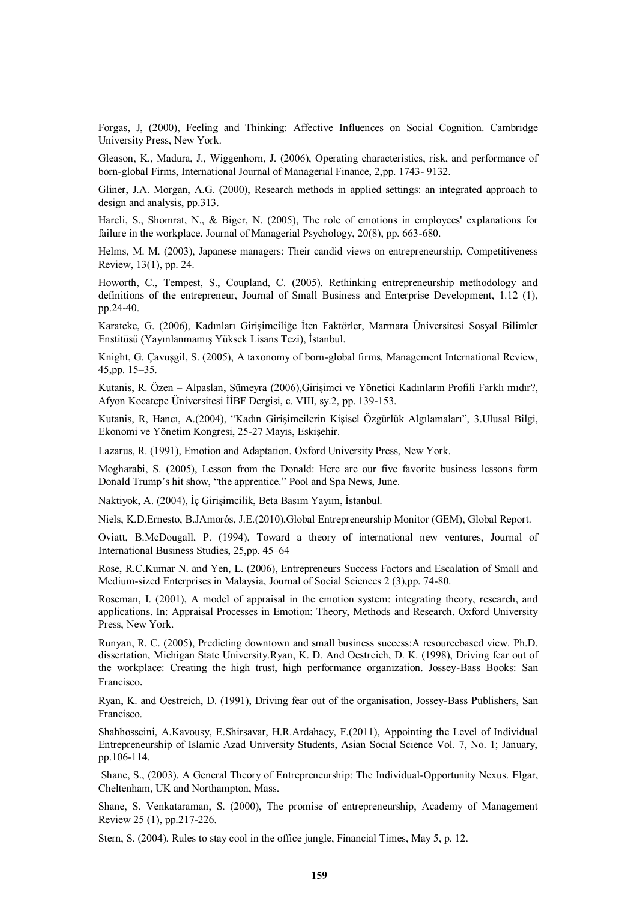Forgas, J, (2000), Feeling and Thinking: Affective Influences on Social Cognition. Cambridge University Press, New York.

Gleason, K., Madura, J., Wiggenhorn, J. (2006), Operating characteristics, risk, and performance of born-global Firms, International Journal of Managerial Finance, 2,pp. 1743- 9132.

Gliner, J.A. Morgan, A.G. (2000), Research methods in applied settings: an integrated approach to design and analysis, pp.313.

Hareli, S., Shomrat, N., & Biger, N. (2005), The role of emotions in employees' explanations for failure in the workplace. Journal of Managerial Psychology, 20(8), pp. 663-680.

Helms, M. M. (2003), Japanese managers: Their candid views on entrepreneurship, Competitiveness Review, 13(1), pp. 24.

Howorth, C., Tempest, S., Coupland, C. (2005). Rethinking entrepreneurship methodology and definitions of the entrepreneur, Journal of Small Business and Enterprise Development, 1.12 (1), pp.24-40.

Karateke, G. (2006), Kadınları Girişimciliğe İten Faktörler, Marmara Üniversitesi Sosyal Bilimler Enstitüsü (Yayınlanmamış Yüksek Lisans Tezi), İstanbul.

Knight, G. Çavuşgil, S. (2005), A taxonomy of born-global firms, Management International Review, 45,pp. 15–35.

Kutanis, R. Özen – Alpaslan, Sümeyra (2006),Girişimci ve Yönetici Kadınların Profili Farklı mıdır?, Afyon Kocatepe Üniversitesi İİBF Dergisi, c. VIII, sy.2, pp. 139-153.

Kutanis, R, Hancı, A.(2004), "Kadın Girişimcilerin Kişisel Özgürlük Algılamaları", 3.Ulusal Bilgi, Ekonomi ve Yönetim Kongresi, 25-27 Mayıs, Eskişehir.

Lazarus, R. (1991), Emotion and Adaptation. Oxford University Press, New York.

Mogharabi, S. (2005), Lesson from the Donald: Here are our five favorite business lessons form Donald Trump"s hit show, "the apprentice." Pool and Spa News, June.

Naktiyok, A. (2004), İç Girişimcilik, Beta Basım Yayım, İstanbul.

Niels, K.D.Ernesto, B.JAmorós, J.E.(2010),Global Entrepreneurship Monitor (GEM), Global Report.

Oviatt, B.McDougall, P. (1994), Toward a theory of international new ventures, Journal of International Business Studies, 25,pp. 45–64

Rose, R.C.Kumar N. and Yen, L. (2006), Entrepreneurs Success Factors and Escalation of Small and Medium-sized Enterprises in Malaysia, Journal of Social Sciences 2 (3),pp. 74-80.

Roseman, I. (2001), A model of appraisal in the emotion system: integrating theory, research, and applications. In: Appraisal Processes in Emotion: Theory, Methods and Research. Oxford University Press, New York.

Runyan, R. C. (2005), Predicting downtown and small business success:A resourcebased view. Ph.D. dissertation, Michigan State University.Ryan, K. D. And Oestreich, D. K. (1998), Driving fear out of the workplace: Creating the high trust, high performance organization. Jossey-Bass Books: San Francisco.

Ryan, K. and Oestreich, D. (1991), Driving fear out of the organisation, Jossey-Bass Publishers, San Francisco.

Shahhosseini, A.Kavousy, E.Shirsavar, H.R.Ardahaey, F.(2011), Appointing the Level of Individual Entrepreneurship of Islamic Azad University Students, Asian Social Science Vol. 7, No. 1; January, pp.106-114.

 Shane, S., (2003). A General Theory of Entrepreneurship: The Individual-Opportunity Nexus. Elgar, Cheltenham, UK and Northampton, Mass.

Shane, S. Venkataraman, S. (2000), The promise of entrepreneurship, Academy of Management Review 25 (1), pp.217-226.

Stern, S. (2004). Rules to stay cool in the office jungle, Financial Times, May 5, p. 12.